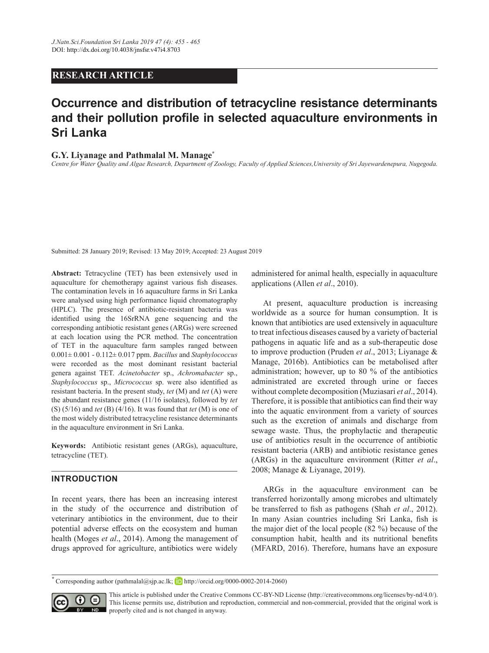## **RESEARCH ARTICLE**

# **Occurrence and distribution of tetracycline resistance determinants and their pollution profile in selected aquaculture environments in Sri Lanka**

### **G.Y. Liyanage and Pathmalal M. Manage\***

*Centre for Water Quality and Algae Research, Department of Zoology, Faculty of Applied Sciences,University of Sri Jayewardenepura, Nugegoda.*

Submitted: 28 January 2019; Revised: 13 May 2019; Accepted: 23 August 2019

**Abstract:** Tetracycline (TET) has been extensively used in aquaculture for chemotherapy against various fish diseases. The contamination levels in 16 aquaculture farms in Sri Lanka were analysed using high performance liquid chromatography (HPLC). The presence of antibiotic-resistant bacteria was identified using the 16SrRNA gene sequencing and the corresponding antibiotic resistant genes (ARGs) were screened at each location using the PCR method. The concentration of TET in the aquaculture farm samples ranged between 0.001± 0.001 - 0.112± 0.017 ppm. *Bacillus* and *Staphylococcus* were recorded as the most dominant resistant bacterial genera against TET. *Acinetobacter* sp., *Achromabacter* sp., *Staphylococcus* sp., *Micrococcus* sp. were also identified as resistant bacteria. In the present study, *tet* (M) and *tet* (A) were the abundant resistance genes (11/16 isolates), followed by *tet* (S) (5/16) and *tet* (B) (4/16). It was found that *tet* (M) is one of the most widely distributed tetracycline resistance determinants in the aquaculture environment in Sri Lanka.

**Keywords:** Antibiotic resistant genes (ARGs), aquaculture, tetracycline (TET).

## **INTRODUCTION**

In recent years, there has been an increasing interest in the study of the occurrence and distribution of veterinary antibiotics in the environment, due to their potential adverse effects on the ecosystem and human health (Moges *et al*., 2014). Among the management of drugs approved for agriculture, antibiotics were widely

administered for animal health, especially in aquaculture applications (Allen *et al*., 2010).

At present, aquaculture production is increasing worldwide as a source for human consumption. It is known that antibiotics are used extensively in aquaculture to treat infectious diseases caused by a variety of bacterial pathogens in aquatic life and as a sub-therapeutic dose to improve production (Pruden *et al*., 2013; Liyanage & Manage, 2016b). Antibiotics can be metabolised after administration; however, up to 80 % of the antibiotics administrated are excreted through urine or faeces without complete decomposition (Muziasari *et al*., 2014). Therefore, it is possible that antibiotics can find their way into the aquatic environment from a variety of sources such as the excretion of animals and discharge from sewage waste. Thus, the prophylactic and therapeutic use of antibiotics result in the occurrence of antibiotic resistant bacteria (ARB) and antibiotic resistance genes (ARGs) in the aquaculture environment (Ritter *et al*., 2008; Manage & Liyanage, 2019).

ARGs in the aquaculture environment can be transferred horizontally among microbes and ultimately be transferred to fish as pathogens (Shah *et al*., 2012). In many Asian countries including Sri Lanka, fish is the major diet of the local people (82 %) because of the consumption habit, health and its nutritional benefits (MFARD, 2016). Therefore, humans have an exposure

 $*$  Corresponding author (pathmalal@sjp.ac.lk; **h**ttp://orcid.org/0000-0002-2014-2060)



This article is published under the Creative Commons CC-BY-ND License (http://creativecommons.org/licenses/by-nd/4.0/). This license permits use, distribution and reproduction, commercial and non-commercial, provided that the original work is properly cited and is not changed in anyway.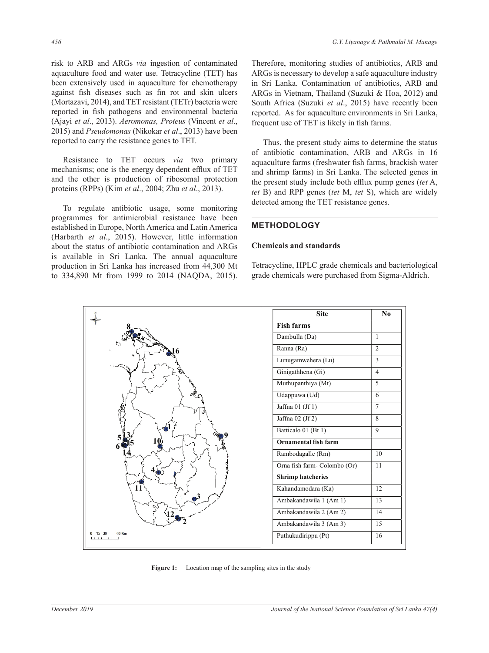risk to ARB and ARGs *via* ingestion of contaminated aquaculture food and water use. Tetracycline (TET) has been extensively used in aquaculture for chemotherapy against fish diseases such as fin rot and skin ulcers (Mortazavi, 2014), and TET resistant (TETr) bacteria were reported in fish pathogens and environmental bacteria (Ajayi *et al*., 2013). *Aeromonas, Proteus* (Vincent *et al*., 2015) and *Pseudomonas* (Nikokar *et al*., 2013) have been reported to carry the resistance genes to TET.

Resistance to TET occurs *via* two primary mechanisms; one is the energy dependent efflux of TET and the other is production of ribosomal protection proteins (RPPs) (Kim *et al*., 2004; Zhu *et al*., 2013).

To regulate antibiotic usage, some monitoring programmes for antimicrobial resistance have been established in Europe, North America and Latin America (Harbarth *et al*., 2015). However, little information about the status of antibiotic contamination and ARGs is available in Sri Lanka. The annual aquaculture production in Sri Lanka has increased from 44,300 Mt to 334,890 Mt from 1999 to 2014 (NAQDA, 2015). Therefore, monitoring studies of antibiotics, ARB and ARGs is necessary to develop a safe aquaculture industry in Sri Lanka. Contamination of antibiotics, ARB and ARGs in Vietnam, Thailand (Suzuki & Hoa, 2012) and South Africa (Suzuki *et al*., 2015) have recently been reported. As for aquaculture environments in Sri Lanka, frequent use of TET is likely in fish farms.

Thus, the present study aims to determine the status of antibiotic contamination, ARB and ARGs in 16 aquaculture farms (freshwater fish farms, brackish water and shrimp farms) in Sri Lanka. The selected genes in the present study include both efflux pump genes (*tet* A, *tet* B) and RPP genes (*tet* M, *tet* S), which are widely detected among the TET resistance genes.

## **METHODOLOGY**

#### **Chemicals and standards**

Tetracycline, HPLC grade chemicals and bacteriological grade chemicals were purchased from Sigma-Aldrich.



**Figure 1:** Location map of the sampling sites in the study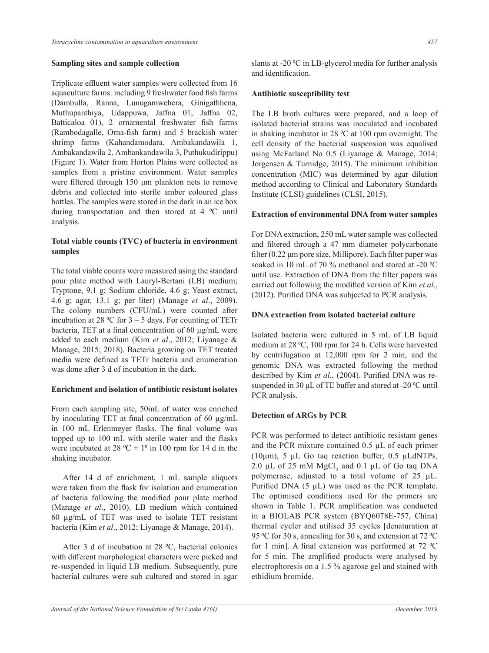#### **Sampling sites and sample collection**

Triplicate effluent water samples were collected from 16 aquaculture farms: including 9 freshwater food fish farms (Dambulla, Ranna, Lunugamwehera, Ginigathhena, Muthupanthiya, Udappuwa, Jaffna 01, Jaffna 02, Batticaloa 01), 2 ornamental freshwater fish farms (Rambodagalle, Orna-fish farm) and 5 brackish water shrimp farms (Kahandamodara, Ambakandawila 1, Ambakandawila 2, Ambankandawila 3, Puthukudirippu) (Figure 1). Water from Horton Plains were collected as samples from a pristine environment. Water samples were filtered through 150 μm plankton nets to remove debris and collected into sterile amber coloured glass bottles. The samples were stored in the dark in an ice box during transportation and then stored at 4 °C until analysis.

## **Total viable counts (TVC) of bacteria in environment samples**

The total viable counts were measured using the standard pour plate method with Lauryl-Bertani (LB) medium; Tryptone, 9.1 g; Sodium chloride, 4.6 g; Yeast extract, 4.6 g; agar, 13.1 g; per liter) (Manage *et al*., 2009). The colony numbers (CFU/mL) were counted after incubation at 28 °C for  $3 - 5$  days. For counting of TETr bacteria, TET at a final concentration of 60 µg/mL were added to each medium (Kim *et al*., 2012; Liyanage & Manage, 2015; 2018). Bacteria growing on TET treated media were defined as TETr bacteria and enumeration was done after 3 d of incubation in the dark.

### **Enrichment and isolation of antibiotic resistant isolates**

From each sampling site, 50mL of water was enriched by inoculating TET at final concentration of 60 µg/mL in 100 mL Erlenmeyer flasks. The final volume was topped up to 100 mL with sterile water and the flasks were incubated at 28 °C  $\pm$  1° in 100 rpm for 14 d in the shaking incubator.

After 14 d of enrichment, 1 mL sample aliquots were taken from the flask for isolation and enumeration of bacteria following the modified pour plate method (Manage *et al*., 2010). LB medium which contained 60 µg/mL of TET was used to isolate TET resistant bacteria (Kim *et al*., 2012; Liyanage & Manage, 2014).

After 3 d of incubation at 28  $^{\circ}$ C, bacterial colonies with different morphological characters were picked and re-suspended in liquid LB medium. Subsequently, pure bacterial cultures were sub cultured and stored in agar slants at -20 °C in LB-glycerol media for further analysis and identification.

## **Antibiotic susceptibility test**

The LB broth cultures were prepared, and a loop of isolated bacterial strains was inoculated and incubated in shaking incubator in 28  $^{\circ}$ C at 100 rpm overnight. The cell density of the bacterial suspension was equalised using McFarland No 0.5 (Liyanage & Manage, 2014; Jorgensen & Turnidge, 2015). The minimum inhibition concentration (MIC) was determined by agar dilution method according to Clinical and Laboratory Standards Institute (CLSI) guidelines (CLSI, 2015).

## **Extraction of environmental DNA from water samples**

For DNA extraction, 250 mL water sample was collected and filtered through a 47 mm diameter polycarbonate filter (0.22 μm pore size, Millipore). Each filter paper was soaked in 10 mL of 70  $\%$  methanol and stored at -20  $\degree$ C until use. Extraction of DNA from the filter papers was carried out following the modified version of Kim *et al*., (2012). Purified DNA was subjected to PCR analysis.

## **DNA extraction from isolated bacterial culture**

Isolated bacteria were cultured in 5 mL of LB liquid medium at 28 °C, 100 rpm for 24 h. Cells were harvested by centrifugation at 12,000 rpm for 2 min, and the genomic DNA was extracted following the method described by Kim *et al*., (2004). Purified DNA was resuspended in 30 μL of TE buffer and stored at -20 °C until PCR analysis.

## **Detection of ARGs by PCR**

PCR was performed to detect antibiotic resistant genes and the PCR mixture contained 0.5 µL of each primer (10 $\mu$ m), 5  $\mu$ L Go taq reaction buffer, 0.5  $\mu$ LdNTPs, 2.0  $\mu$ L of 25 mM  $MgCl<sub>2</sub>$  and 0.1  $\mu$ L of Go taq DNA polymerase, adjusted to a total volume of 25 µL. Purified DNA  $(5 \mu L)$  was used as the PCR template. The optimised conditions used for the primers are shown in Table 1. PCR amplification was conducted in a BIOLAB PCR system (BYQ6078E-757, China) thermal cycler and utilised 35 cycles [denaturation at 95 °C for 30 s, annealing for 30 s, and extension at 72 °C for 1 min]. A final extension was performed at  $72 \text{ °C}$ for 5 min. The amplified products were analysed by electrophoresis on a 1.5 % agarose gel and stained with ethidium bromide.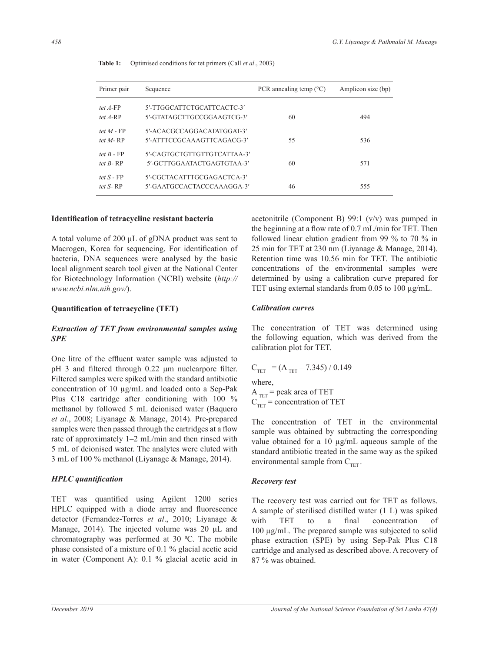| Primer pair                   | Sequence                                                  | PCR annealing temp $(^{\circ}C)$ | Amplicon size (bp) |  |
|-------------------------------|-----------------------------------------------------------|----------------------------------|--------------------|--|
| tet $A$ -FP<br>tet $A-RP$     | 5'-TTGGCATTCTGCATTCACTC-3'<br>5'-GTATAGCTTGCCGGAAGTCG-3'  | 60                               | 494                |  |
| tet $M$ - FP<br>tet $M$ -RP   | 5'-ACACGCCAGGACATATGGAT-3'<br>5'-ATTTCCGCAAAGTTCAGACG-3'  | 55                               | 536                |  |
| tet $B$ - $FP$<br>tet $R$ -RP | 5'-CAGTGCTGTTGTTGTCATTAA-3'<br>5'-GCTTGGAATACTGAGTGTAA-3' | 60                               | 571                |  |
| tet $S$ - $FP$<br>tet $S$ -RP | 5'-CGCTACATTTGCGAGACTCA-3'<br>5'-GAATGCCACTACCCAAAGGA-3'  | 46                               | 555                |  |

**Table 1:** Optimised conditions for tet primers (Call *et al*., 2003)

#### **Identification of tetracycline resistant bacteria**

A total volume of 200 μL of gDNA product was sent to Macrogen, Korea for sequencing. For identification of bacteria, DNA sequences were analysed by the basic local alignment search tool given at the National Center for Biotechnology Information (NCBI) website (*http:// www.ncbi.nlm.nih.gov/*).

### **Quantification of tetracycline (TET)**

## *Extraction of TET from environmental samples using SPE*

One litre of the effluent water sample was adjusted to pH 3 and filtered through 0.22 μm nuclearpore filter. Filtered samples were spiked with the standard antibiotic concentration of 10 µg/mL and loaded onto a Sep-Pak Plus C18 cartridge after conditioning with 100 % methanol by followed 5 mL deionised water (Baquero *et al*., 2008; Liyanage & Manage, 2014). Pre-prepared samples were then passed through the cartridges at a flow rate of approximately 1–2 mL/min and then rinsed with 5 mL of deionised water. The analytes were eluted with 3 mL of 100 % methanol (Liyanage & Manage, 2014).

### *HPLC quantification*

TET was quantified using Agilent 1200 series HPLC equipped with a diode array and fluorescence detector (Fernandez-Torres *et al*., 2010; Liyanage & Manage, 2014). The injected volume was 20 μL and chromatography was performed at 30  $^{\circ}$ C. The mobile phase consisted of a mixture of 0.1 % glacial acetic acid in water (Component A): 0.1 % glacial acetic acid in acetonitrile (Component B) 99:1 (v/v) was pumped in the beginning at a flow rate of 0.7 mL/min for TET. Then followed linear elution gradient from 99 % to 70 % in 25 min for TET at 230 nm (Liyanage & Manage, 2014). Retention time was 10.56 min for TET. The antibiotic concentrations of the environmental samples were determined by using a calibration curve prepared for TET using external standards from  $0.05$  to  $100 \mu g/mL$ .

#### *Calibration curves*

The concentration of TET was determined using the following equation, which was derived from the calibration plot for TET.

$$
C_{TET} = (A_{TET} - 7.345) / 0.149
$$
  
where,  

$$
A_{TET} = peak \text{ area of TET}
$$
  

$$
C_{TET} = concentration \text{ of TET}
$$

The concentration of TET in the environmental sample was obtained by subtracting the corresponding value obtained for a 10  $\mu$ g/mL aqueous sample of the standard antibiotic treated in the same way as the spiked environmental sample from  $C_{TET}$ .

### *Recovery test*

The recovery test was carried out for TET as follows. A sample of sterilised distilled water (1 L) was spiked with TET to a final concentration of 100 µg/mL. The prepared sample was subjected to solid phase extraction (SPE) by using Sep-Pak Plus C18 cartridge and analysed as described above. A recovery of 87 % was obtained.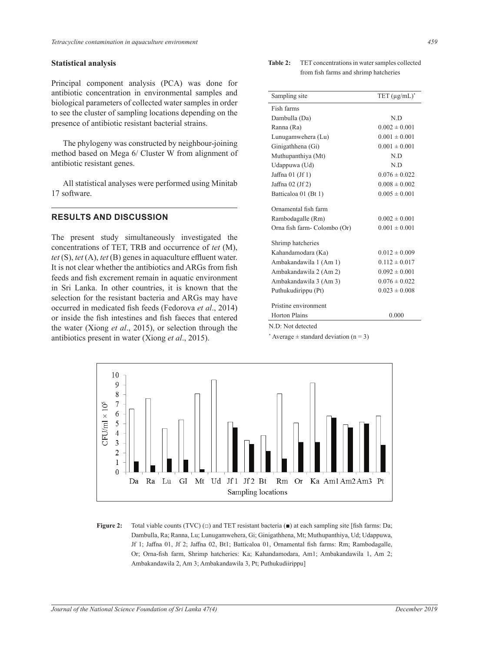## **Statistical analysis**

Principal component analysis (PCA) was done for antibiotic concentration in environmental samples and biological parameters of collected water samples in order to see the cluster of sampling locations depending on the presence of antibiotic resistant bacterial strains.

The phylogeny was constructed by neighbour-joining method based on Mega 6/ Cluster W from alignment of antibiotic resistant genes.

All statistical analyses were performed using Minitab 17 software.

## **RESULTS AND DISCUSSION**

The present study simultaneously investigated the concentrations of TET, TRB and occurrence of *tet* (M),  $\frac{\text{sumim} \text{maxincimes}}{\text{Kahandamodara (Ka)}}$  . 0.012 ± 0.009 *tet* (S), *tet* (A), *tet* (B) genes in aquaculture effluent water. It is not clear whether the antibiotics and ARGs from fish  $\frac{A}{A}$ feeds and fish excrement remain in aquatic environment  $\Delta m$  ambakandawila  $3 (Am\ 3)$   $(2.076 \pm 0.022)$ in Sri Lanka. In other countries, it is known that the  $S = 0.023 \pm 0.008$  by University Puthukudirippu (Pt) and situated 2100 m above selection for the resistant bacteria and ARGs may have occurred in medicated fish feeds (Fedorova *et al.*, 2014) <sup>Pristine</sup> environment or inside the fish intestines and fish faeces that entered the water (Xiong *et al*., 2015), or selection through the antibiotics present in water (Xiong *et al*., 2015).

| <b>Table 2:</b> TET concentrations in water samples collected |  |  |
|---------------------------------------------------------------|--|--|
| from fish farms and shrimp hatcheries                         |  |  |

| centration in environmental samples and                                                | Sampling site               | TET $(\mu g/mL)^*$ |  |
|----------------------------------------------------------------------------------------|-----------------------------|--------------------|--|
| ameters of collected water samples in order                                            | Fish farms                  |                    |  |
| ter of sampling locations depending on the                                             | Dambulla (Da)               | N.D                |  |
| itibiotic resistant bacterial strains.                                                 | Ranna (Ra)                  | $0.002 \pm 0.001$  |  |
|                                                                                        | Lunugamwehera (Lu)          | $0.001 \pm 0.001$  |  |
| geny was constructed by neighbour-joining                                              | Ginigathhena (Gi)           | $0.001 \pm 0.001$  |  |
| on Mega 6/ Cluster W from alignment of                                                 | Muthupanthiya (Mt)          | N.D                |  |
| stant genes.                                                                           | Udappuwa (Ud)               | N.D                |  |
|                                                                                        | Jaffna $01$ (Jf 1)          | $0.076 \pm 0.022$  |  |
| cal analyses were performed using Minitab                                              | Jaffna $02$ (Jf 2)          | $0.008 \pm 0.002$  |  |
|                                                                                        | Batticaloa 01 (Bt 1)        | $0.005 \pm 0.001$  |  |
|                                                                                        | Ornamental fish farm        |                    |  |
| <b>ND DISCUSSION</b>                                                                   | Rambodagalle (Rm)           | $0.002 \pm 0.001$  |  |
|                                                                                        | Orna fish farm-Colombo (Or) | $0.001 \pm 0.001$  |  |
| study simultaneously investigated the<br>s of TET, TRB and occurrence of tet (M),      | Shrimp hatcheries           |                    |  |
| <i>tet</i> (B) genes in aquaculture effluent water.                                    | Kahandamodara (Ka)          | $0.012 \pm 0.009$  |  |
| whether the antibiotics and ARGs from fish                                             | Ambakandawila 1 (Am 1)      | $0.112 \pm 0.017$  |  |
|                                                                                        | Ambakandawila 2 (Am 2)      | $0.092 \pm 0.001$  |  |
| excrement remain in aquatic environment                                                | Ambakandawila 3 (Am 3)      | $0.076 \pm 0.022$  |  |
| In other countries, it is known that the                                               | Puthukudirippu (Pt)         | $0.023 \pm 0.008$  |  |
| he resistant bacteria and ARGs may have<br>edicated fish feeds (Fedorova et al., 2014) | Pristine environment        |                    |  |
| fish intestines and fish faeces that entered                                           | <b>Horton Plains</b>        | 0.000              |  |
| ong <i>et al.</i> , 2015), or selection through the                                    | N.D: Not detected           |                    |  |

\* Average  $\pm$  standard deviation (n = 3)



**Figure 2:** Total viable counts (TVC) (□) and TET resistant bacteria (■) at each sampling site [fish farms: Da; Dambulla, Ra; Ranna, Lu; Lunugamwehera, Gi; Ginigathhena, Mt; Muthupanthiya, Ud; Udappuwa, Jf 1; Jaffna 01, Jf 2; Jaffna 02, Bt1; Batticaloa 01, Ornamental fish farms: Rm; Rambodagalle, Or; Orna-fish farm, Shrimp hatcheries: Ka; Kahandamodara, Am1; Ambakandawila 1, Am 2; Ambakandawila 2, Am 3; Ambakandawila 3, Pt; Puthukudiirippu]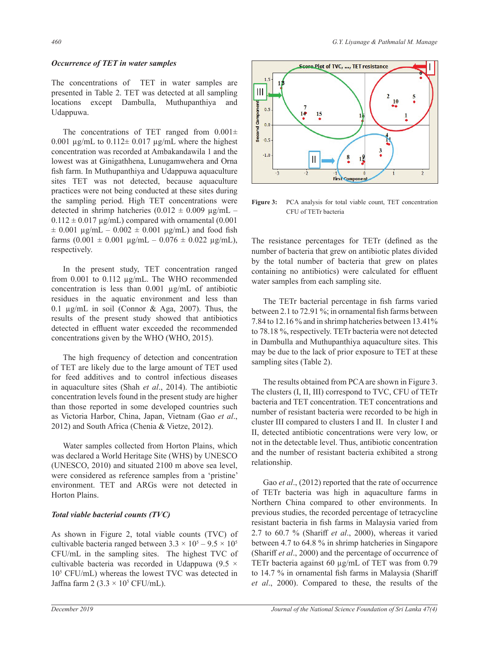## *Occurrence of TET in water samples*

The concentrations of TET in water samples are presented in Table 2. TET was detected at all sampling locations except Dambulla, Muthupanthiya and Udappuwa.

The concentrations of TET ranged from  $0.001 \pm$ 0.001  $\mu$ g/mL to 0.112 $\pm$  0.017  $\mu$ g/mL where the highest concentration was recorded at Ambakandawila 1 and the lowest was at Ginigathhena, Lunugamwehera and Orna fish farm. In Muthupanthiya and Udappuwa aquaculture sites TET was not detected, because aquaculture practices were not being conducted at these sites during the sampling period. High TET concentrations were detected in shrimp hatcheries  $(0.012 \pm 0.009 \text{ µg/mL} 0.112 \pm 0.017$  µg/mL) compared with ornamental (0.001  $\pm$  0.001  $\mu$ g/mL – 0.002  $\pm$  0.001  $\mu$ g/mL) and food fish farms  $(0.001 \pm 0.001 \mu\text{g/mL} - 0.076 \pm 0.022 \mu\text{g/mL})$ , respectively.

In the present study, TET concentration ranged from 0.001 to 0.112 µg/mL. The WHO recommended concentration is less than 0.001 µg/mL of antibiotic residues in the aquatic environment and less than 0.1 µg/mL in soil (Connor & Aga, 2007). Thus, the results of the present study showed that antibiotics detected in effluent water exceeded the recommended concentrations given by the WHO (WHO, 2015).

The high frequency of detection and concentration of TET are likely due to the large amount of TET used for feed additives and to control infectious diseases in aquaculture sites (Shah *et al*., 2014). The antibiotic concentration levels found in the present study are higher than those reported in some developed countries such as Victoria Harbor, China, Japan, Vietnam (Gao *et al*., 2012) and South Africa (Chenia & Vietze, 2012).

Water samples collected from Horton Plains, which was declared a World Heritage Site (WHS) by UNESCO (UNESCO, 2010) and situated 2100 m above sea level, were considered as reference samples from a 'pristine' environment. TET and ARGs were not detected in Horton Plains.

### *Total viable bacterial counts (TVC)*

As shown in Figure 2, total viable counts (TVC) of cultivable bacteria ranged between  $3.3 \times 10^5 - 9.5 \times 10^5$ CFU/mL in the sampling sites. The highest TVC of cultivable bacteria was recorded in Udappuwa (9.5  $\times$ 105 CFU/mL) whereas the lowest TVC was detected in Jaffna farm 2  $(3.3 \times 10^5 \text{ CFU/mL})$ .





**Figure 3:** PCA analysis for total viable count, TET concentration CFU of TETr bacteria

The resistance percentages for TETr (defined as the number of bacteria that grew on antibiotic plates divided by the total number of bacteria that grew on plates containing no antibiotics) were calculated for effluent water samples from each sampling site.

The TETr bacterial percentage in fish farms varied between 2.1 to 72.91 %; in ornamental fish farms between 7.84 to 12.16 % and in shrimp hatcheries between 13.41% to 78.18 %, respectively. TETr bacteria were not detected in Dambulla and Muthupanthiya aquaculture sites. This may be due to the lack of prior exposure to TET at these sampling sites (Table 2).

The results obtained from PCA are shown in Figure 3. The clusters (I, II, III) correspond to TVC, CFU of TETr bacteria and TET concentration. TET concentrations and number of resistant bacteria were recorded to be high in cluster III compared to clusters I and II. In cluster I and II, detected antibiotic concentrations were very low, or not in the detectable level. Thus, antibiotic concentration and the number of resistant bacteria exhibited a strong relationship.

Gao *et al*., (2012) reported that the rate of occurrence of TETr bacteria was high in aquaculture farms in Northern China compared to other environments. In previous studies, the recorded percentage of tetracycline resistant bacteria in fish farms in Malaysia varied from 2.7 to 60.7 % (Shariff *et al*., 2000), whereas it varied between 4.7 to 64.8 % in shrimp hatcheries in Singapore (Shariff *et al*., 2000) and the percentage of occurrence of TETr bacteria against 60 µg/mL of TET was from 0.79 to 14.7 % in ornamental fish farms in Malaysia (Shariff *et al*., 2000). Compared to these, the results of the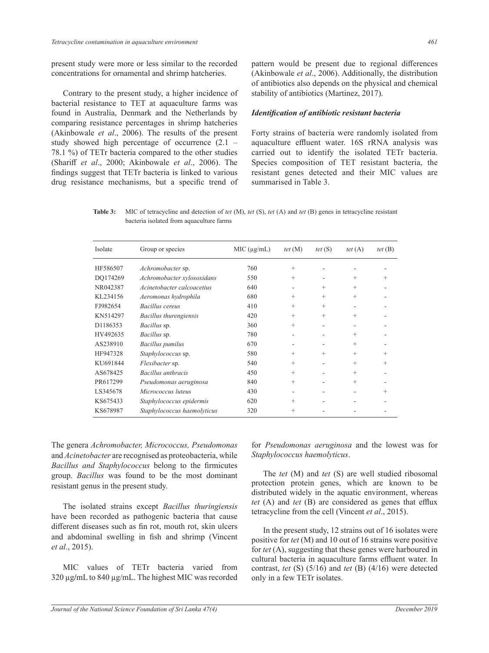present study were more or less similar to the recorded concentrations for ornamental and shrimp hatcheries.

Contrary to the present study, a higher incidence of bacterial resistance to TET at aquaculture farms was found in Australia, Denmark and the Netherlands by comparing resistance percentages in shrimp hatcheries (Akinbowale *et al*., 2006). The results of the present study showed high percentage of occurrence (2.1 – 78.1 %) of TETr bacteria compared to the other studies (Shariff *et al*., 2000; Akinbowale *et al*., 2006). The findings suggest that TETr bacteria is linked to various drug resistance mechanisms, but a specific trend of pattern would be present due to regional differences (Akinbowale *et al*., 2006). Additionally, the distribution of antibiotics also depends on the physical and chemical stability of antibiotics (Martinez, 2017).

#### *Identification of antibiotic resistant bacteria*

Forty strains of bacteria were randomly isolated from aquaculture effluent water. 16S rRNA analysis was carried out to identify the isolated TETr bacteria. Species composition of TET resistant bacteria, the resistant genes detected and their MIC values are summarised in Table 3.

**Table 3:** MIC of tetracycline and detection of *tet* (M), *tet* (S), *tet* (A) and *tet* (B) genes in tetracycline resistant bacteria isolated from aquaculture farms

| Isolate  | Group or species            | MIC (µg/mL) | tet $(M)$ | tet $(S)$ | tet $(A)$ | tet $(B)$ |
|----------|-----------------------------|-------------|-----------|-----------|-----------|-----------|
| HF586507 | Achromobacter sp.           | 760         | $+$       |           |           |           |
| DO174269 | Achromobacter xylosoxidans  | 550         | $^{+}$    |           | $^{+}$    | $^{+}$    |
| NR042387 | Acinetobacter calcoacetius  | 640         |           | $^{+}$    | $^{+}$    |           |
| KL234156 | Aeromonas hydrophila        | 680         | $^{+}$    | $^{+}$    | $^{+}$    |           |
| FJ982654 | Bacillus cereus             | 410         | $^{+}$    | $^{+}$    | ٠         |           |
| KN514297 | Bacillus thurengiensis      | 420         | $^{+}$    | $^{+}$    | $^{+}$    |           |
| D1186353 | Bacillus sp.                | 360         | $^{+}$    |           |           |           |
| HV492635 | Bacillus sp.                | 780         |           |           | $^{+}$    |           |
| AS238910 | <b>Bacillus</b> pumilus     | 670         |           |           | $^{+}$    |           |
| HF947328 | Staphylococcus sp.          | 580         | $^{+}$    | $^{+}$    | $^{+}$    | $^{+}$    |
| KU691844 | Flexibacter sp.             | 540         | $^{+}$    |           | $^{+}$    | $^{+}$    |
| AS678425 | Bacillus anthracis          | 450         | $^{+}$    |           | $^{+}$    |           |
| PR617299 | Pseudomonas aeruginosa      | 840         | $^{+}$    |           | $^{+}$    |           |
| LS345678 | Micrococcus luteus          | 430         | ۰         |           |           | $^{+}$    |
| KS675433 | Staphylococcus epidermis    | 620         | $^{+}$    |           |           |           |
| KS678987 | Staphylococcus haemolyticus | 320         | $^{+}$    |           |           |           |

The genera *Achromobacter, Micrococcus, Pseudomonas* and *Acinetobacter* are recognised as proteobacteria, while *Bacillus and Staphylococcus* belong to the firmicutes group. *Bacillus* was found to be the most dominant resistant genus in the present study.

The isolated strains except *Bacillus thuringiensis* have been recorded as pathogenic bacteria that cause different diseases such as fin rot, mouth rot, skin ulcers and abdominal swelling in fish and shrimp (Vincent *et al*., 2015).

MIC values of TETr bacteria varied from 320 µg**/**mL to 840 µg/mL. The highest MIC was recorded for *Pseudomonas aeruginosa* and the lowest was for *Staphylococcus haemolyticus*.

The *tet* (M) and *tet* (S) are well studied ribosomal protection protein genes, which are known to be distributed widely in the aquatic environment, whereas *tet* (A) and *tet* (B) are considered as genes that efflux tetracycline from the cell (Vincent *et al*., 2015).

In the present study, 12 strains out of 16 isolates were positive for *tet* (M) and 10 out of 16 strains were positive for *tet* (A), suggesting that these genes were harboured in cultural bacteria in aquaculture farms effluent water. In contrast, *tet* (S) (5/16) and *tet* (B) (4/16) were detected only in a few TETr isolates.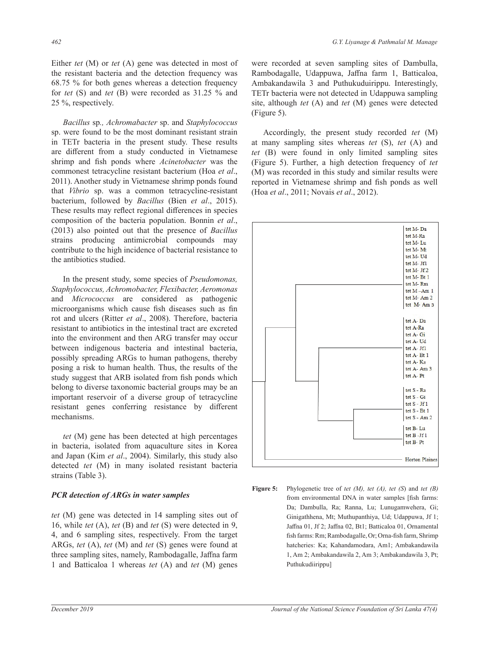Either *tet* (M) or *tet* (A) gene was detected in most of the resistant bacteria and the detection frequency was 68.75 % for both genes whereas a detection frequency for *tet* (S) and *tet* (B) were recorded as 31.25 % and 25 %, respectively.

*Bacillus* sp*., Achromabacter* sp. and *Staphylococcus*  sp. were found to be the most dominant resistant strain in TETr bacteria in the present study. These results are different from a study conducted in Vietnamese shrimp and fish ponds where *Acinetobacter* was the commonest tetracycline resistant bacterium (Hoa *et al*., 2011). Another study in Vietnamese shrimp ponds found that *Vibrio* sp. was a common tetracycline-resistant bacterium, followed by *Bacillus* (Bien *et al*., 2015). These results may reflect regional differences in species composition of the bacteria population. Bonnin *et al*., (2013) also pointed out that the presence of *Bacillus*  strains producing antimicrobial compounds may contribute to the high incidence of bacterial resistance to the antibiotics studied.

In the present study, some species of *Pseudomonas, Staphylococcus, Achromobacter, Flexibacter, Aeromonas* and *Micrococcus* are considered as pathogenic microorganisms which cause fish diseases such as fin rot and ulcers (Ritter *et al*., 2008). Therefore, bacteria resistant to antibiotics in the intestinal tract are excreted into the environment and then ARG transfer may occur between indigenous bacteria and intestinal bacteria, possibly spreading ARGs to human pathogens, thereby posing a risk to human health. Thus, the results of the study suggest that ARB isolated from fish ponds which belong to diverse taxonomic bacterial groups may be an important reservoir of a diverse group of tetracycline resistant genes conferring resistance by different mechanisms.

*tet* (M) gene has been detected at high percentages in bacteria, isolated from aquaculture sites in Korea and Japan (Kim *et al*., 2004). Similarly, this study also detected *tet* (M) in many isolated resistant bacteria strains (Table 3).

### *PCR detection of ARGs in water samples*

*tet* (M) gene was detected in 14 sampling sites out of 16, while *tet* (A), *tet* (B) and *tet* (S) were detected in 9, 4, and 6 sampling sites, respectively. From the target ARGs, *tet* (A), *tet* (M) and *tet* (S) genes were found at three sampling sites, namely, Rambodagalle, Jaffna farm 1 and Batticaloa 1 whereas *tet* (A) and *tet* (M) genes

were recorded at seven sampling sites of Dambulla, Rambodagalle, Udappuwa, Jaffna farm 1, Batticaloa, Ambakandawila 3 and Puthukuduirippu. Interestingly, TETr bacteria were not detected in Udappuwa sampling site, although *tet* (A) and *tet* (M) genes were detected (Figure 5).

Accordingly, the present study recorded *tet* (M) at many sampling sites whereas *tet* (S), *tet* (A) and  $t$ tet  $H$  (B) were found in only limited sampling sites the (Figure 5). Further, a high detection frequency of *tet* (M) was recorded in this study and similar results were the many interest of many interests were<br>reported in Vietnamese shrimp and fish ponds as well (Hoa *et al*., 2011; Novais *et al*., 2012).  $\text{occus}$ 



**Figure 5:** Phylogenetic tree of tet  $(M)$ , tet  $(A)$ , tet  $(S)$  and tet  $(B)$ from environmental DNA in water samples [fish farms: Da; Dambulla, Ra; Ranna, Lu; Lunugamwehera, Gi; out of Ginigathhena, Mt; Muthupanthiya, Ud; Udappuwa, Jf 1;  $\text{Im } 9, \text{ Jaffna } 01, \text{ If } 2; \text{ Jaffna } 02, \text{ Btl}; \text{ Batticaloa } 01, \text{ Ornamental}$ fish farms: Rm; Rambodagalle, Or; Orna-fish farm, Shrimp and at hatcheries: Ka; Kahandamodara, Am1; Ambakandawila 1, Am 2; Ambakandawila 2, Am 3; Ambakandawila 3, Pt; Puthukudiirippu]  $\mathcal{L}$ 

The tet (M) generation in 14 sampling sites out of 14 sampling sites out of 16, while tet (B) and tet (S) were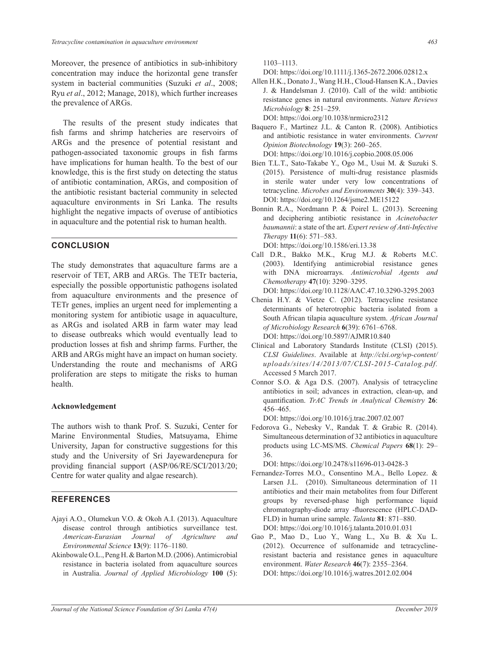Moreover, the presence of antibiotics in sub-inhibitory concentration may induce the horizontal gene transfer system in bacterial communities (Suzuki *et al*., 2008; Ryu *et al*., 2012; Manage, 2018), which further increases the prevalence of ARGs.

The results of the present study indicates that fish farms and shrimp hatcheries are reservoirs of ARGs and the presence of potential resistant and pathogen-associated taxonomic groups in fish farms have implications for human health. To the best of our knowledge, this is the first study on detecting the status of antibiotic contamination, ARGs, and composition of the antibiotic resistant bacterial community in selected aquaculture environments in Sri Lanka. The results highlight the negative impacts of overuse of antibiotics in aquaculture and the potential risk to human health.

## **CONCLUSION**

The study demonstrates that aquaculture farms are a reservoir of TET, ARB and ARGs. The TETr bacteria, especially the possible opportunistic pathogens isolated from aquaculture environments and the presence of TETr genes, implies an urgent need for implementing a monitoring system for antibiotic usage in aquaculture, as ARGs and isolated ARB in farm water may lead to disease outbreaks which would eventually lead to production losses at fish and shrimp farms. Further, the ARB and ARGs might have an impact on human society. Understanding the route and mechanisms of ARG proliferation are steps to mitigate the risks to human health.

#### **Acknowledgement**

The authors wish to thank Prof. S. Suzuki, Center for Marine Environmental Studies, Matsuyama, Ehime University, Japan for constructive suggestions for this study and the University of Sri Jayewardenepura for providing financial support (ASP/06/RE/SCI/2013/20; Centre for water quality and algae research).

## **REFERENCES**

- Ajayi A.O., Olumekun V.O. & Okoh A.I. (2013). Aquaculture disease control through antibiotics surveillance test. *American-Eurasian Journal of Agriculture and Environmental Science* **13**(9): 1176–1180.
- Akinbowale O.L., Peng H. & Barton M.D. (2006). Antimicrobial resistance in bacteria isolated from aquaculture sources in Australia. *Journal of Applied Microbiology* **100** (5):

1103–1113.

DOI: https://doi.org/10.1111/j.1365-2672.2006.02812.x

- Allen H.K., Donato J., Wang H.H., Cloud-Hansen K.A., Davies J. & Handelsman J. (2010). Call of the wild: antibiotic resistance genes in natural environments. *Nature Reviews Microbiology* **8**: 251–259. DOI: https://doi.org/10.1038/nrmicro2312
- Baquero F., Martinez J.L. & Canton R. (2008). Antibiotics and antibiotic resistance in water environments. *Current Opinion Biotechnology* **19**(3): 260–265. DOI: https://doi.org/10.1016/j.copbio.2008.05.006
- Bien T.L.T., Sato-Takabe Y., Ogo M., Usui M. & Suzuki S. (2015). Persistence of multi-drug resistance plasmids in sterile water under very low concentrations of tetracycline. *Microbes and Environments* **30**(4): 339–343.
- DOI: https://doi.org/10.1264/jsme2.ME15122 Bonnin R.A., Nordmann P. & Poirel L. (2013). Screening and deciphering antibiotic resistance in *Acinetobacter baumannii*: a state of the art. *Expert review of Anti-Infective Therapy* **11**(6): 571–583.

DOI: https://doi.org/10.1586/eri.13.38

- Call D.R., Bakko M.K., Krug M.J. & Roberts M.C. (2003). Identifying antimicrobial resistance genes with DNA microarrays. *Antimicrobial Agents and Chemotherapy* **47**(10): 3290–3295.
	- DOI: https://doi.org/10.1128/AAC.47.10.3290-3295.2003
- Chenia H.Y. & Vietze C. (2012). Tetracycline resistance determinants of heterotrophic bacteria isolated from a South African tilapia aquaculture system. *African Journal of Microbiology Research* **6**(39): 6761–6768. DOI: https://doi.org/10.5897/AJMR10.840
- Clinical and Laboratory Standards Institute (CLSI) (2015). *CLSI Guidelines*. Available at *http://clsi.org/wp-content/ uploads/sites/14/2013/07/CLSI-2015-Catalog.pdf.*  Accessed 5 March 2017.
- Connor S.O. & Aga D.S. (2007). Analysis of tetracycline antibiotics in soil; advances in extraction, clean-up, and quantification. *TrAC Trends in Analytical Chemistry* **26**: 456–465.

DOI: https://doi.org/10.1016/j.trac.2007.02.007

Fedorova G., Nebesky V., Randak T. & Grabic R. (2014). Simultaneous determination of 32 antibiotics in aquaculture products using LC-MS/MS. *Chemical Papers* **68**(1): 29– 36.

DOI: https://doi.org/10.2478/s11696-013-0428-3

- Fernandez-Torres M.O., Consentino M.A., Bello Lopez. & Larsen J.L. (2010). Simultaneous determination of 11 antibiotics and their main metabolites from four Different groups by reversed-phase high performance liquid chromatography-diode array -fluorescence (HPLC-DAD-FLD) in human urine sample. *Talanta* **81**: 871–880. DOI: https://doi.org/10.1016/j.talanta.2010.01.031
- Gao P., Mao D., Luo Y., Wang L., Xu B. & Xu L. (2012). Occurrence of sulfonamide and tetracyclineresistant bacteria and resistance genes in aquaculture environment. *Water Research* **46**(7): 2355–2364. DOI: https://doi.org/10.1016/j.watres.2012.02.004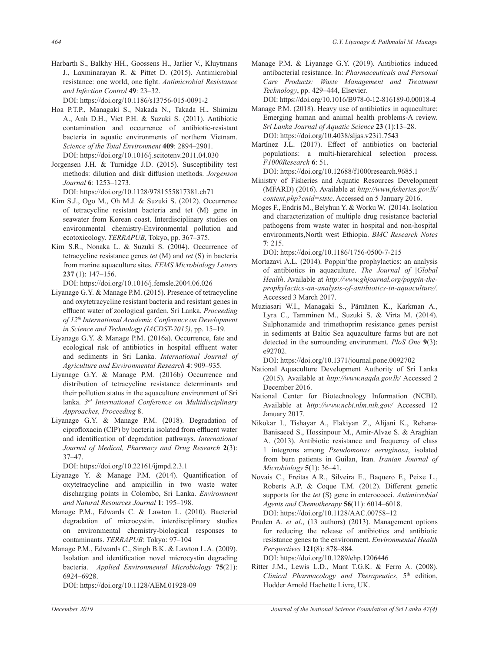Harbarth S., Balkhy HH., Goossens H., Jarlier V., Kluytmans J., Laxminarayan R. & Pittet D. (2015). Antimicrobial resistance: one world, one fight. *Antimicrobial Resistance and Infection Control* **49**: 23–32.

DOI: https://doi.org/10.1186/s13756-015-0091-2

- Hoa P.T.P., Managaki S., Nakada N., Takada H., Shimizu A., Anh D.H., Viet P.H. & Suzuki S. (2011). Antibiotic contamination and occurrence of antibiotic-resistant bacteria in aquatic environments of northern Vietnam. *Science of the Total Environment* **409**: 2894–2901. DOI: https://doi.org/10.1016/j.scitotenv.2011.04.030
- Jorgensen J.H. & Turnidge J.D. (2015). Susceptibility test methods: dilution and disk diffusion methods. *Jorgenson Journal* **6**: 1253–1273.

DOI: https://doi.org/10.1128/9781555817381.ch71

- Kim S.J., Ogo M., Oh M.J. & Suzuki S. (2012). Occurrence of tetracycline resistant bacteria and tet (M) gene in seawater from Korean coast. Interdisciplinary studies on environmental chemistry-Environmental pollution and ecotoxicology. *TERRAPUB*, Tokyo, pp. 367–375.
- Kim S.R., Nonaka L. & Suzuki S. (2004). Occurrence of tetracycline resistance genes *tet* (M) and *tet* (S) in bacteria from marine aquaculture sites. *FEMS Microbiology Letters* **237** (1): 147–156.

DOI: https://doi.org/10.1016/j.femsle.2004.06.026

- Liyanage G.Y. & Manage P.M. (2015). Presence of tetracycline and oxytetracycline resistant bacteria and resistant genes in effluent water of zoological garden, Sri Lanka. *Proceeding of 12th International Academic Conference on Development in Science and Technology (IACDST-2015)*, pp. 15–19.
- Liyanage G.Y. & Manage P.M. (2016a). Occurrence, fate and ecological risk of antibiotics in hospital effluent water and sediments in Sri Lanka. *International Journal of Agriculture and Environmental Research* **4**: 909–935.
- Liyanage G.Y. & Manage P.M. (2016b) Occurrence and distribution of tetracycline resistance determinants and their pollution status in the aquaculture environment of Sri lanka. *3rd International Conference on Multidisciplinary Approaches, Proceeding* 8.
- Liyanage G.Y. & Manage P.M. (2018). Degradation of ciprofloxacin (CIP) by bacteria isolated from effluent water and identification of degradation pathways. *International Journal of Medical, Pharmacy and Drug Research* **2**(3): 37–47.

DOI: https://doi.org/10.22161/ijmpd.2.3.1

- Liyanage Y. & Manage P.M. (2014). Quantification of oxytetracycline and ampicillin in two waste water discharging points in Colombo, Sri Lanka. *Environment and Natural Resources Journal* **1**: 195–198.
- Manage P.M., Edwards C. & Lawton L. (2010). Bacterial degradation of microcystin. interdisciplinary studies on environmental chemistry-biological responses to contaminants. *TERRAPUB*: Tokyo: 97–104
- Manage P.M., Edwards C., Singh B.K. & Lawton L.A. (2009). Isolation and identification novel microcystin degrading bacteria. *Applied Environmental Microbiology* **75**(21): 6924–6928.

DOI: https://doi.org/10.1128/AEM.01928-09

Manage P.M. & Liyanage G.Y. (2019). Antibiotics induced antibacterial resistance. In: *Pharmaceuticals and Personal Care Products: Waste Management and Treatment Technology*, pp. 429–444, Elsevier.

DOI: https://doi.org/10.1016/B978-0-12-816189-0.00018-4

Manage P.M. (2018). Heavy use of antibiotics in aquaculture: Emerging human and animal health problems-A review. *Sri Lanka Journal of Aquatic Science* **23** (1):13–28. DOI: https://doi.org/10.4038/sljas.v23i1.7543

Martínez J.L. (2017). Effect of antibiotics on bacterial populations: a multi-hierarchical selection process. *F1000Research* **6**: 51.

DOI: https://doi.org/10.12688/f1000research.9685.1

- Ministry of Fisheries and Aquatic Resources Development (MFARD) (2016). Available at *http://www.fisheries.gov.lk/ content.php?cnid=ststc*. Accessed on 5 January 2016.
- Moges F., Endris M., Belyhun Y. & Worku W. (2014). Isolation and characterization of multiple drug resistance bacterial pathogens from waste water in hospital and non-hospital environments,North west Ethiopia. *BMC Research Notes* **7**: 215.

DOI: https://doi.org/10.1186/1756-0500-7-215

- Mortazavi A.L. (2014). Poppin'the prophylactics: an analysis of antibiotics in aquaculture. *The Journal of |Global Health*. Available at *http://www.ghjournal.org/poppin-theprophylactics-an-analysis-of-antibiotics-in-aquaculture/.* Accessed 3 March 2017.
- Muziasari W.I., Managaki S., Pärnänen K., Karkman A., Lyra C., Tamminen M., Suzuki S. & Virta M. (2014). Sulphonamide and trimethoprim resistance genes persist in sediments at Baltic Sea aquaculture farms but are not detected in the surrounding environment. *PloS One* **9**(3): e92702.

DOI: https://doi.org/10.1371/journal.pone.0092702

- National Aquaculture Development Authority of Sri Lanka (2015). Available at *http://www.naqda.gov.lk/* Accessed 2 December 2016.
- National Center for Biotechnology Information (NCBI). Available at *http://www.ncbi.nlm.nih.gov/* Accessed 12 January 2017.
- Nikokar I., Tishayar A., Flakiyan Z., Alijani K., Rehana-Banisaeed S., Hossinpour M., Amir-Alvae S. & Araghian A. (2013). Antibiotic resistance and frequency of class 1 integrons among *Pseudomonas aeruginosa*, isolated from burn patients in Guilan, Iran. *Iranian Journal of Microbiology* **5**(1): 36–41.
- Novais C., Freitas A.R., Silveira E., Baquero F., Peixe L., Roberts A.P. & Coque T.M. (2012). Different genetic supports for the *tet* (S) gene in enterococci. *Antimicrobial Agents and Chemotherapy* **56**(11): 6014–6018. DOI: https://doi.org/10.1128/AAC.00758–12
- Pruden A. *et al*., (13 authors) (2013). Management options for reducing the release of antibiotics and antibiotic resistance genes to the environment. *Environmental Health Perspectives* **121**(8): 878–884. DOI: https://doi.org/10.1289/ehp.1206446
- Ritter J.M., Lewis L.D., Mant T.G.K. & Ferro A. (2008). *Clinical Pharmacology and Therapeutics*, 5th edition, Hodder Arnold Hachette Livre, UK.